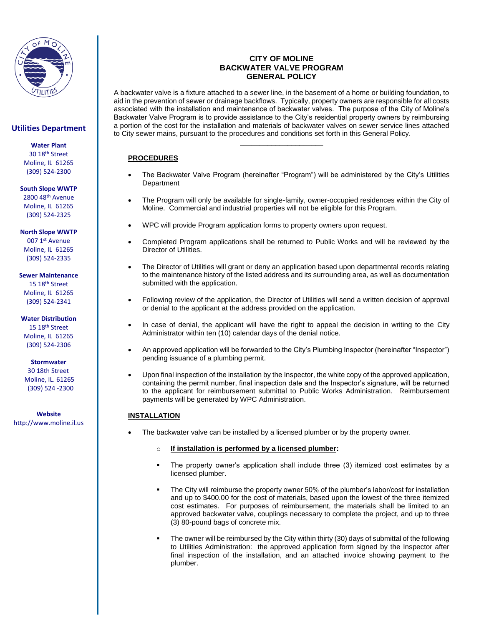

# **Utilities Department**

**Water Plant**

30 18th Street Moline, IL 61265 (309) 524-2300

#### **South Slope WWTP**

2800 48th Avenue Moline, IL 61265 (309) 524-2325

**North Slope WWTP**

007 1st Avenue Moline, IL 61265 (309) 524-2335

### **Sewer Maintenance**

15 18th Street Moline, IL 61265 (309) 524-2341

### **Water Distribution**

15 18th Street Moline, IL 61265 (309) 524-2306

### **Stormwater**

 30 18th Street Moline, IL. 61265 (309) 524 -2300

**Website** http://www.moline.il.us

## **CITY OF MOLINE BACKWATER VALVE PROGRAM GENERAL POLICY**

A backwater valve is a fixture attached to a sewer line, in the basement of a home or building foundation, to aid in the prevention of sewer or drainage backflows. Typically, property owners are responsible for all costs associated with the installation and maintenance of backwater valves. The purpose of the City of Moline's Backwater Valve Program is to provide assistance to the City's residential property owners by reimbursing a portion of the cost for the installation and materials of backwater valves on sewer service lines attached to City sewer mains, pursuant to the procedures and conditions set forth in this General Policy.

\_\_\_\_\_\_\_\_\_\_\_\_\_\_\_\_\_\_\_\_\_

# **PROCEDURES**

- The Backwater Valve Program (hereinafter "Program") will be administered by the City's Utilities Department
- The Program will only be available for single-family, owner-occupied residences within the City of Moline. Commercial and industrial properties will not be eligible for this Program.
- WPC will provide Program application forms to property owners upon request.
- Completed Program applications shall be returned to Public Works and will be reviewed by the Director of Utilities.
- The Director of Utilities will grant or deny an application based upon departmental records relating to the maintenance history of the listed address and its surrounding area, as well as documentation submitted with the application.
- Following review of the application, the Director of Utilities will send a written decision of approval or denial to the applicant at the address provided on the application.
- In case of denial, the applicant will have the right to appeal the decision in writing to the City Administrator within ten (10) calendar days of the denial notice.
- An approved application will be forwarded to the City's Plumbing Inspector (hereinafter "Inspector") pending issuance of a plumbing permit.
- Upon final inspection of the installation by the Inspector, the white copy of the approved application, containing the permit number, final inspection date and the Inspector's signature, will be returned to the applicant for reimbursement submittal to Public Works Administration. Reimbursement payments will be generated by WPC Administration.

### **INSTALLATION**

- The backwater valve can be installed by a licensed plumber or by the property owner.
	- o **If installation is performed by a licensed plumber:**
	- The property owner's application shall include three (3) itemized cost estimates by a licensed plumber.
	- The City will reimburse the property owner 50% of the plumber's labor/cost for installation and up to \$400.00 for the cost of materials, based upon the lowest of the three itemized cost estimates. For purposes of reimbursement, the materials shall be limited to an approved backwater valve, couplings necessary to complete the project, and up to three (3) 80-pound bags of concrete mix.
	- The owner will be reimbursed by the City within thirty (30) days of submittal of the following to Utilities Administration: the approved application form signed by the Inspector after final inspection of the installation, and an attached invoice showing payment to the plumber.